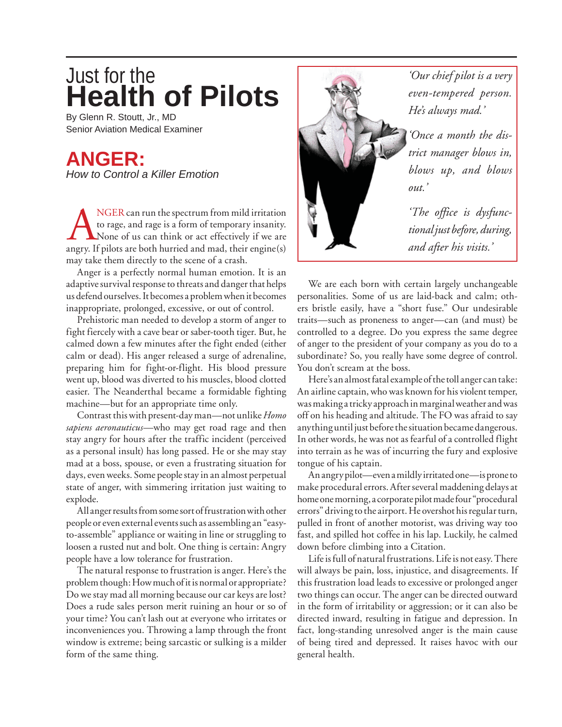## **Health of Pilots** Just for the

By Glenn R. Stoutt, Jr., MD Senior Aviation Medical Examiner

## **ANGER:** *How to Control a Killer Emotion*

NGER can run the spectrum from mild irritation<br>to rage, and rage is a form of temporary insanity.<br>None of us can think or act effectively if we are<br>angry. If pilots are both hurried and mad, their engine(s) to rage, and rage is a form of temporary insanity. None of us can think or act effectively if we are angry. If pilots are both hurried and mad, their engine(s) may take them directly to the scene of a crash.

Anger is a perfectly normal human emotion. It is an adaptive survival response to threats and danger that helps us defend ourselves. It becomes a problem when it becomes inappropriate, prolonged, excessive, or out of control.

Prehistoric man needed to develop a storm of anger to fight fiercely with a cave bear or saber-tooth tiger. But, he calmed down a few minutes after the fight ended (either calm or dead). His anger released a surge of adrenaline, preparing him for fight-or-flight. His blood pressure went up, blood was diverted to his muscles, blood clotted easier. The Neanderthal became a formidable fighting machine—but for an appropriate time only.

Contrast this with present-day man—not unlike *Homo sapiens aeronauticus*—who may get road rage and then stay angry for hours after the traffic incident (perceived as a personal insult) has long passed. He or she may stay mad at a boss, spouse, or even a frustrating situation for days, even weeks. Some people stay in an almost perpetual state of anger, with simmering irritation just waiting to explode.

All anger results from some sort of frustration with other people or even external events such as assembling an "easyto-assemble" appliance or waiting in line or struggling to loosen a rusted nut and bolt. One thing is certain: Angry people have a low tolerance for frustration.

The natural response to frustration is anger. Here's the problem though: How much of it is normal or appropriate? Do we stay mad all morning because our car keys are lost? Does a rude sales person merit ruining an hour or so of your time? You can't lash out at everyone who irritates or inconveniences you. Throwing a lamp through the front window is extreme; being sarcastic or sulking is a milder form of the same thing.



*'Our chief pilot is a very even-tempered person. He's always mad.'*

*'Once a month the district manager blows in, blows up, and blows* 

*'The office is dysfunctional just before, during, and after his visits.'*

We are each born with certain largely unchangeable personalities. Some of us are laid-back and calm; others bristle easily, have a "short fuse." Our undesirable traits—such as proneness to anger—can (and must) be controlled to a degree. Do you express the same degree of anger to the president of your company as you do to a subordinate? So, you really have some degree of control. You don't scream at the boss.

Here's an almost fatal example of the toll anger can take: An airline captain, who was known for his violent temper, was making a tricky approach in marginal weather and was off on his heading and altitude. The FO was afraid to say anything until just before the situation became dangerous. In other words, he was not as fearful of a controlled flight into terrain as he was of incurring the fury and explosive tongue of his captain.

An angry pilot—even a mildly irritated one—is prone to make procedural errors. After several maddening delays at home one morning, a corporate pilot made four "procedural errors" driving to the airport. He overshot his regular turn, pulled in front of another motorist, was driving way too fast, and spilled hot coffee in his lap. Luckily, he calmed down before climbing into a Citation.

Life is full of natural frustrations. Life is not easy. There will always be pain, loss, injustice, and disagreements. If this frustration load leads to excessive or prolonged anger two things can occur. The anger can be directed outward in the form of irritability or aggression; or it can also be directed inward, resulting in fatigue and depression. In fact, long-standing unresolved anger is the main cause of being tired and depressed. It raises havoc with our general health.